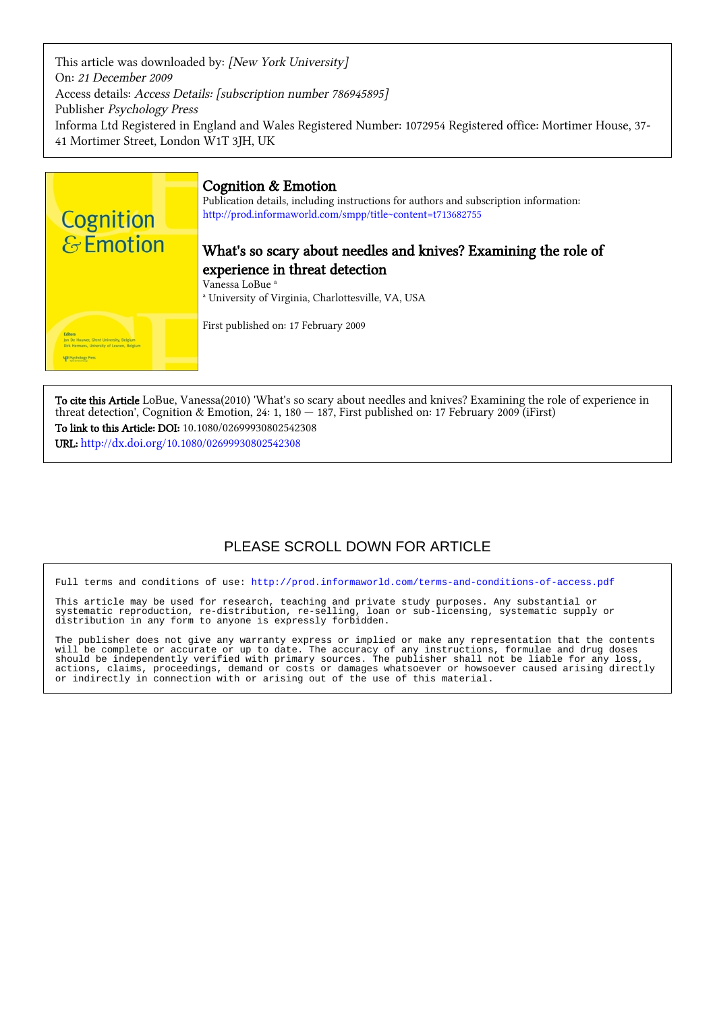This article was downloaded by: [New York University] On: 21 December 2009 Access details: Access Details: [subscription number 786945895] Publisher Psychology Press Informa Ltd Registered in England and Wales Registered Number: 1072954 Registered office: Mortimer House, 37- 41 Mortimer Street, London W1T 3JH, UK



# Cognition & Emotion

Publication details, including instructions for authors and subscription information: <http://prod.informaworld.com/smpp/title~content=t713682755>

# What's so scary about needles and knives? Examining the role of experience in threat detection

Vanessa LoBue<sup>a</sup> a University of Virginia, Charlottesville, VA, USA

First published on: 17 February 2009

To cite this Article LoBue, Vanessa(2010) 'What's so scary about needles and knives? Examining the role of experience in threat detection', Cognition & Emotion, 24: 1, 180 — 187, First published on: 17 February 2009 (iFirst) To link to this Article: DOI: 10.1080/02699930802542308 URL: <http://dx.doi.org/10.1080/02699930802542308>

# PLEASE SCROLL DOWN FOR ARTICLE

Full terms and conditions of use:<http://prod.informaworld.com/terms-and-conditions-of-access.pdf>

This article may be used for research, teaching and private study purposes. Any substantial or systematic reproduction, re-distribution, re-selling, loan or sub-licensing, systematic supply or distribution in any form to anyone is expressly forbidden.

The publisher does not give any warranty express or implied or make any representation that the contents will be complete or accurate or up to date. The accuracy of any instructions, formulae and drug doses should be independently verified with primary sources. The publisher shall not be liable for any loss, actions, claims, proceedings, demand or costs or damages whatsoever or howsoever caused arising directly or indirectly in connection with or arising out of the use of this material.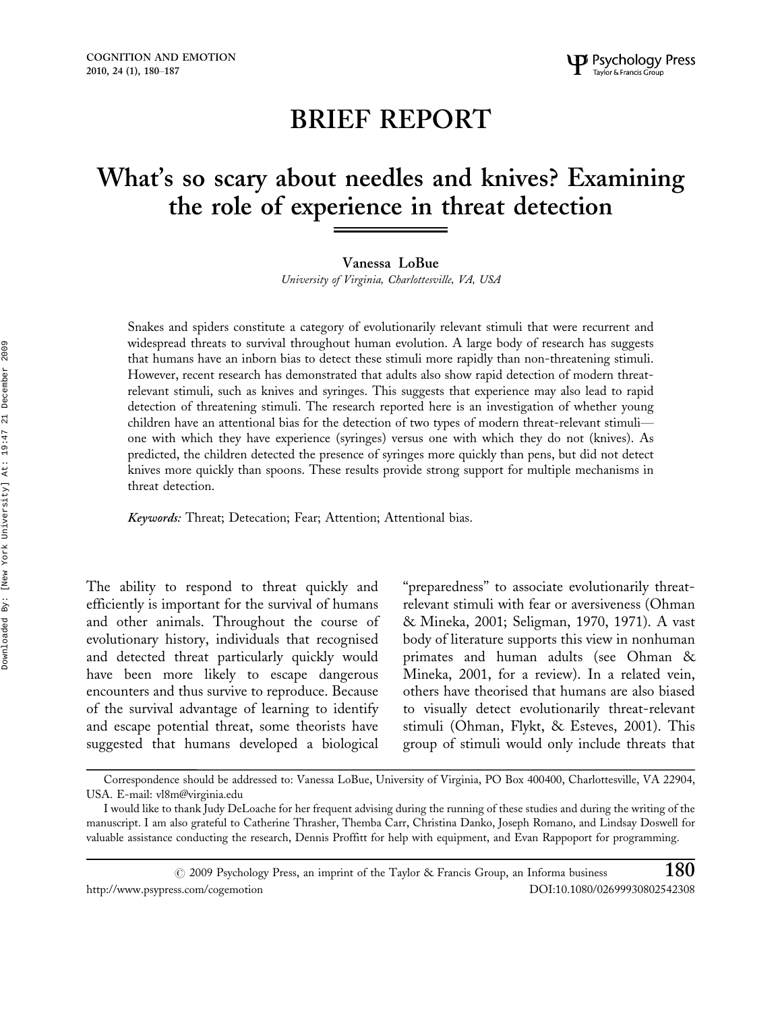# BRIEF REPORT

# What's so scary about needles and knives? Examining the role of experience in threat detection

#### Vanessa LoBue

University of Virginia, Charlottesville, VA, USA

Snakes and spiders constitute a category of evolutionarily relevant stimuli that were recurrent and widespread threats to survival throughout human evolution. A large body of research has suggests that humans have an inborn bias to detect these stimuli more rapidly than non-threatening stimuli. However, recent research has demonstrated that adults also show rapid detection of modern threatrelevant stimuli, such as knives and syringes. This suggests that experience may also lead to rapid detection of threatening stimuli. The research reported here is an investigation of whether young children have an attentional bias for the detection of two types of modern threat-relevant stimuli one with which they have experience (syringes) versus one with which they do not (knives). As predicted, the children detected the presence of syringes more quickly than pens, but did not detect knives more quickly than spoons. These results provide strong support for multiple mechanisms in threat detection.

Keywords: Threat; Detecation; Fear; Attention; Attentional bias.

The ability to respond to threat quickly and efficiently is important for the survival of humans and other animals. Throughout the course of evolutionary history, individuals that recognised and detected threat particularly quickly would have been more likely to escape dangerous encounters and thus survive to reproduce. Because of the survival advantage of learning to identify and escape potential threat, some theorists have suggested that humans developed a biological

"preparedness" to associate evolutionarily threatrelevant stimuli with fear or aversiveness (Ohman & Mineka, 2001; Seligman, 1970, 1971). A vast body of literature supports this view in nonhuman primates and human adults (see Ohman & Mineka, 2001, for a review). In a related vein, others have theorised that humans are also biased to visually detect evolutionarily threat-relevant stimuli (Ohman, Flykt, & Esteves, 2001). This group of stimuli would only include threats that

Correspondence should be addressed to: Vanessa LoBue, University of Virginia, PO Box 400400, Charlottesville, VA 22904, USA. E-mail: vl8m@virginia.edu

I would like to thank Judy DeLoache for her frequent advising during the running of these studies and during the writing of the manuscript. I am also grateful to Catherine Thrasher, Themba Carr, Christina Danko, Joseph Romano, and Lindsay Doswell for valuable assistance conducting the research, Dennis Proffitt for help with equipment, and Evan Rappoport for programming.

 $\odot$  2009 Psychology Press, an imprint of the Taylor & Francis Group, an Informa business  $180$ http://www.psypress.com/cogemotion DOI:10.1080/02699930802542308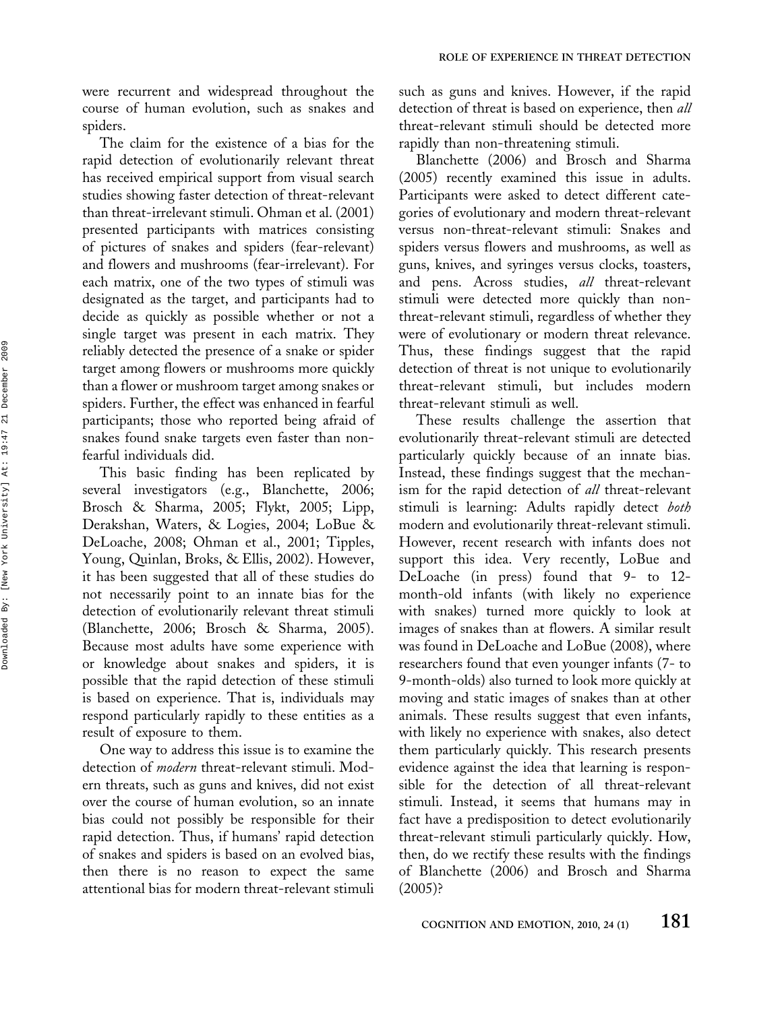were recurrent and widespread throughout the course of human evolution, such as snakes and spiders.

The claim for the existence of a bias for the rapid detection of evolutionarily relevant threat has received empirical support from visual search studies showing faster detection of threat-relevant than threat-irrelevant stimuli. Ohman et al. (2001) presented participants with matrices consisting of pictures of snakes and spiders (fear-relevant) and flowers and mushrooms (fear-irrelevant). For each matrix, one of the two types of stimuli was designated as the target, and participants had to decide as quickly as possible whether or not a single target was present in each matrix. They reliably detected the presence of a snake or spider target among flowers or mushrooms more quickly than a flower or mushroom target among snakes or spiders. Further, the effect was enhanced in fearful participants; those who reported being afraid of snakes found snake targets even faster than nonfearful individuals did.

This basic finding has been replicated by several investigators (e.g., Blanchette, 2006; Brosch & Sharma, 2005; Flykt, 2005; Lipp, Derakshan, Waters, & Logies, 2004; LoBue & DeLoache, 2008; Ohman et al., 2001; Tipples, Young, Quinlan, Broks, & Ellis, 2002). However, it has been suggested that all of these studies do not necessarily point to an innate bias for the detection of evolutionarily relevant threat stimuli (Blanchette, 2006; Brosch & Sharma, 2005). Because most adults have some experience with or knowledge about snakes and spiders, it is possible that the rapid detection of these stimuli is based on experience. That is, individuals may respond particularly rapidly to these entities as a result of exposure to them.

One way to address this issue is to examine the detection of modern threat-relevant stimuli. Modern threats, such as guns and knives, did not exist over the course of human evolution, so an innate bias could not possibly be responsible for their rapid detection. Thus, if humans' rapid detection of snakes and spiders is based on an evolved bias, then there is no reason to expect the same attentional bias for modern threat-relevant stimuli

such as guns and knives. However, if the rapid detection of threat is based on experience, then all threat-relevant stimuli should be detected more rapidly than non-threatening stimuli.

Blanchette (2006) and Brosch and Sharma (2005) recently examined this issue in adults. Participants were asked to detect different categories of evolutionary and modern threat-relevant versus non-threat-relevant stimuli: Snakes and spiders versus flowers and mushrooms, as well as guns, knives, and syringes versus clocks, toasters, and pens. Across studies, all threat-relevant stimuli were detected more quickly than nonthreat-relevant stimuli, regardless of whether they were of evolutionary or modern threat relevance. Thus, these findings suggest that the rapid detection of threat is not unique to evolutionarily threat-relevant stimuli, but includes modern threat-relevant stimuli as well.

These results challenge the assertion that evolutionarily threat-relevant stimuli are detected particularly quickly because of an innate bias. Instead, these findings suggest that the mechanism for the rapid detection of all threat-relevant stimuli is learning: Adults rapidly detect both modern and evolutionarily threat-relevant stimuli. However, recent research with infants does not support this idea. Very recently, LoBue and DeLoache (in press) found that 9- to 12 month-old infants (with likely no experience with snakes) turned more quickly to look at images of snakes than at flowers. A similar result was found in DeLoache and LoBue (2008), where researchers found that even younger infants (7- to 9-month-olds) also turned to look more quickly at moving and static images of snakes than at other animals. These results suggest that even infants, with likely no experience with snakes, also detect them particularly quickly. This research presents evidence against the idea that learning is responsible for the detection of all threat-relevant stimuli. Instead, it seems that humans may in fact have a predisposition to detect evolutionarily threat-relevant stimuli particularly quickly. How, then, do we rectify these results with the findings of Blanchette (2006) and Brosch and Sharma  $(2005)$ ?

2009

December

 $21$ 

York University] At: 19:47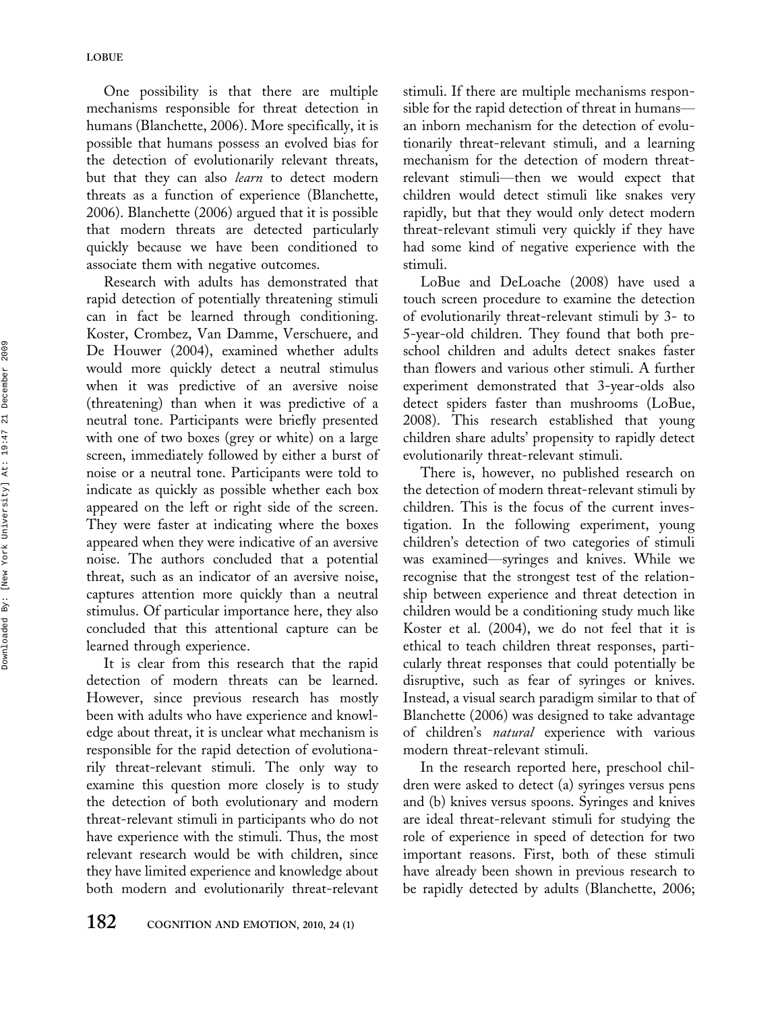One possibility is that there are multiple mechanisms responsible for threat detection in humans (Blanchette, 2006). More specifically, it is possible that humans possess an evolved bias for the detection of evolutionarily relevant threats, but that they can also *learn* to detect modern threats as a function of experience (Blanchette, 2006). Blanchette (2006) argued that it is possible that modern threats are detected particularly quickly because we have been conditioned to associate them with negative outcomes.

Research with adults has demonstrated that rapid detection of potentially threatening stimuli can in fact be learned through conditioning. Koster, Crombez, Van Damme, Verschuere, and De Houwer (2004), examined whether adults would more quickly detect a neutral stimulus when it was predictive of an aversive noise (threatening) than when it was predictive of a neutral tone. Participants were briefly presented with one of two boxes (grey or white) on a large screen, immediately followed by either a burst of noise or a neutral tone. Participants were told to indicate as quickly as possible whether each box appeared on the left or right side of the screen. They were faster at indicating where the boxes appeared when they were indicative of an aversive noise. The authors concluded that a potential threat, such as an indicator of an aversive noise, captures attention more quickly than a neutral stimulus. Of particular importance here, they also concluded that this attentional capture can be learned through experience.

It is clear from this research that the rapid detection of modern threats can be learned. However, since previous research has mostly been with adults who have experience and knowledge about threat, it is unclear what mechanism is responsible for the rapid detection of evolutionarily threat-relevant stimuli. The only way to examine this question more closely is to study the detection of both evolutionary and modern threat-relevant stimuli in participants who do not have experience with the stimuli. Thus, the most relevant research would be with children, since they have limited experience and knowledge about both modern and evolutionarily threat-relevant

stimuli. If there are multiple mechanisms responsible for the rapid detection of threat in humans an inborn mechanism for the detection of evolutionarily threat-relevant stimuli, and a learning mechanism for the detection of modern threatrelevant stimuli-then we would expect that children would detect stimuli like snakes very rapidly, but that they would only detect modern threat-relevant stimuli very quickly if they have had some kind of negative experience with the stimuli.

LoBue and DeLoache (2008) have used a touch screen procedure to examine the detection of evolutionarily threat-relevant stimuli by 3- to 5-year-old children. They found that both preschool children and adults detect snakes faster than flowers and various other stimuli. A further experiment demonstrated that 3-year-olds also detect spiders faster than mushrooms (LoBue, 2008). This research established that young children share adults' propensity to rapidly detect evolutionarily threat-relevant stimuli.

There is, however, no published research on the detection of modern threat-relevant stimuli by children. This is the focus of the current investigation. In the following experiment, young children's detection of two categories of stimuli was examined—syringes and knives. While we recognise that the strongest test of the relationship between experience and threat detection in children would be a conditioning study much like Koster et al. (2004), we do not feel that it is ethical to teach children threat responses, particularly threat responses that could potentially be disruptive, such as fear of syringes or knives. Instead, a visual search paradigm similar to that of Blanchette (2006) was designed to take advantage of children's natural experience with various modern threat-relevant stimuli.

In the research reported here, preschool children were asked to detect (a) syringes versus pens and (b) knives versus spoons. Syringes and knives are ideal threat-relevant stimuli for studying the role of experience in speed of detection for two important reasons. First, both of these stimuli have already been shown in previous research to be rapidly detected by adults (Blanchette, 2006;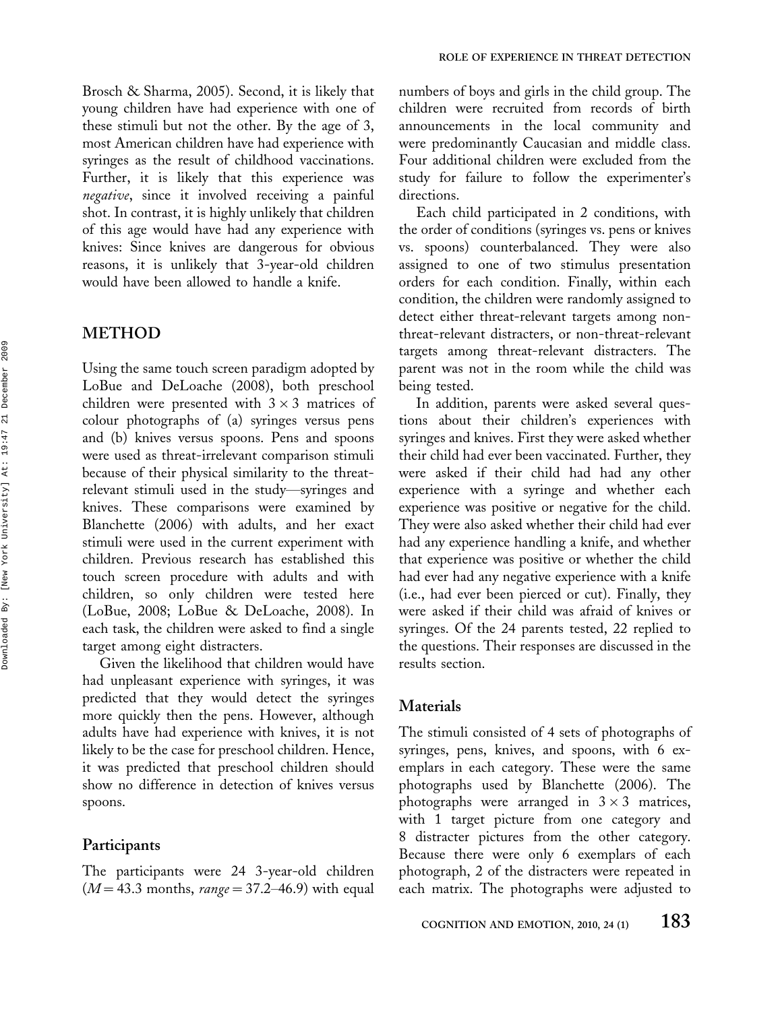Brosch & Sharma, 2005). Second, it is likely that young children have had experience with one of these stimuli but not the other. By the age of 3, most American children have had experience with syringes as the result of childhood vaccinations. Further, it is likely that this experience was negative, since it involved receiving a painful shot. In contrast, it is highly unlikely that children of this age would have had any experience with knives: Since knives are dangerous for obvious reasons, it is unlikely that 3-year-old children would have been allowed to handle a knife.

## METHOD

Using the same touch screen paradigm adopted by LoBue and DeLoache (2008), both preschool children were presented with  $3 \times 3$  matrices of colour photographs of (a) syringes versus pens and (b) knives versus spoons. Pens and spoons were used as threat-irrelevant comparison stimuli because of their physical similarity to the threatrelevant stimuli used in the study-syringes and knives. These comparisons were examined by Blanchette (2006) with adults, and her exact stimuli were used in the current experiment with children. Previous research has established this touch screen procedure with adults and with children, so only children were tested here (LoBue, 2008; LoBue & DeLoache, 2008). In each task, the children were asked to find a single target among eight distracters.

Given the likelihood that children would have had unpleasant experience with syringes, it was predicted that they would detect the syringes more quickly then the pens. However, although adults have had experience with knives, it is not likely to be the case for preschool children. Hence, it was predicted that preschool children should show no difference in detection of knives versus spoons.

#### Participants

The participants were 24 3-year-old children  $(M=43.3 \text{ months}, \text{range}=37.2\text{--}46.9) \text{ with equal}$  numbers of boys and girls in the child group. The children were recruited from records of birth announcements in the local community and were predominantly Caucasian and middle class. Four additional children were excluded from the study for failure to follow the experimenter's directions.

Each child participated in 2 conditions, with the order of conditions (syringes vs. pens or knives vs. spoons) counterbalanced. They were also assigned to one of two stimulus presentation orders for each condition. Finally, within each condition, the children were randomly assigned to detect either threat-relevant targets among nonthreat-relevant distracters, or non-threat-relevant targets among threat-relevant distracters. The parent was not in the room while the child was being tested.

In addition, parents were asked several questions about their children's experiences with syringes and knives. First they were asked whether their child had ever been vaccinated. Further, they were asked if their child had had any other experience with a syringe and whether each experience was positive or negative for the child. They were also asked whether their child had ever had any experience handling a knife, and whether that experience was positive or whether the child had ever had any negative experience with a knife (i.e., had ever been pierced or cut). Finally, they were asked if their child was afraid of knives or syringes. Of the 24 parents tested, 22 replied to the questions. Their responses are discussed in the results section.

#### Materials

The stimuli consisted of 4 sets of photographs of syringes, pens, knives, and spoons, with 6 exemplars in each category. These were the same photographs used by Blanchette (2006). The photographs were arranged in  $3 \times 3$  matrices, with 1 target picture from one category and 8 distracter pictures from the other category. Because there were only 6 exemplars of each photograph, 2 of the distracters were repeated in each matrix. The photographs were adjusted to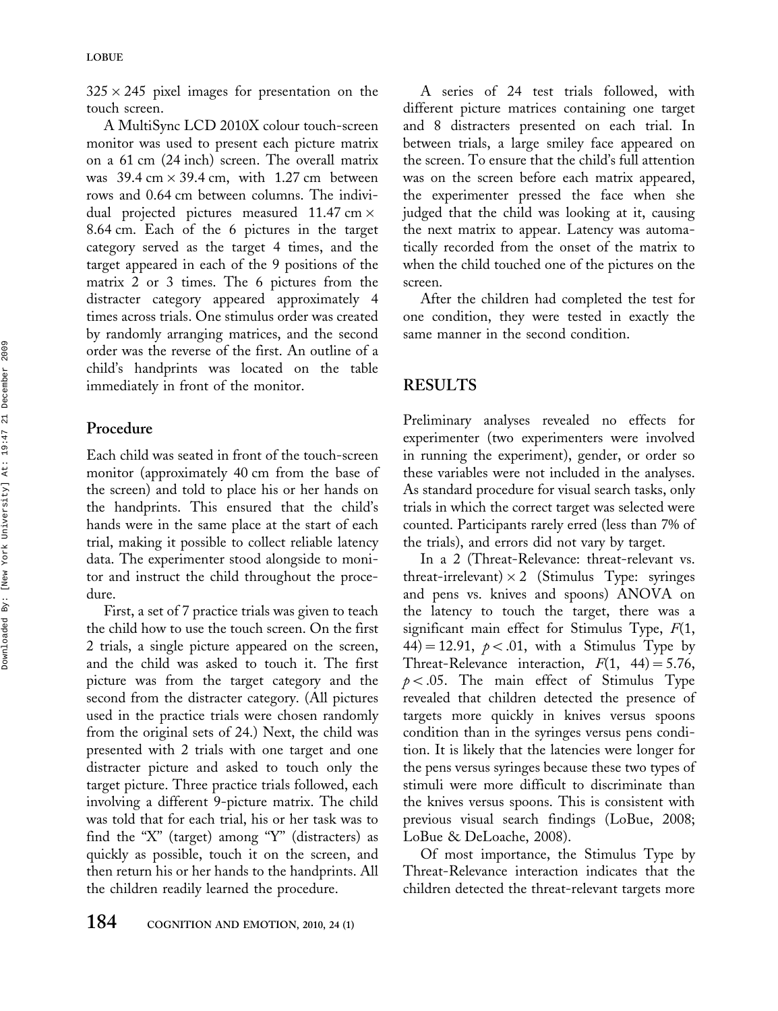$325 \times 245$  pixel images for presentation on the touch screen.

A MultiSync LCD 2010X colour touch-screen monitor was used to present each picture matrix on a 61 cm (24 inch) screen. The overall matrix was 39.4 cm  $\times$  39.4 cm, with 1.27 cm between rows and 0.64 cm between columns. The individual projected pictures measured 11.47 cm  $\times$ 8.64 cm. Each of the 6 pictures in the target category served as the target 4 times, and the target appeared in each of the 9 positions of the matrix 2 or 3 times. The 6 pictures from the distracter category appeared approximately 4 times across trials. One stimulus order was created by randomly arranging matrices, and the second order was the reverse of the first. An outline of a child's handprints was located on the table immediately in front of the monitor.

### Procedure

Each child was seated in front of the touch-screen monitor (approximately 40 cm from the base of the screen) and told to place his or her hands on the handprints. This ensured that the child's hands were in the same place at the start of each trial, making it possible to collect reliable latency data. The experimenter stood alongside to monitor and instruct the child throughout the procedure.

First, a set of 7 practice trials was given to teach the child how to use the touch screen. On the first 2 trials, a single picture appeared on the screen, and the child was asked to touch it. The first picture was from the target category and the second from the distracter category. (All pictures used in the practice trials were chosen randomly from the original sets of 24.) Next, the child was presented with 2 trials with one target and one distracter picture and asked to touch only the target picture. Three practice trials followed, each involving a different 9-picture matrix. The child was told that for each trial, his or her task was to find the "X" (target) among "Y" (distracters) as quickly as possible, touch it on the screen, and then return his or her hands to the handprints. All the children readily learned the procedure.

A series of 24 test trials followed, with different picture matrices containing one target and 8 distracters presented on each trial. In between trials, a large smiley face appeared on the screen. To ensure that the child's full attention was on the screen before each matrix appeared, the experimenter pressed the face when she judged that the child was looking at it, causing the next matrix to appear. Latency was automatically recorded from the onset of the matrix to when the child touched one of the pictures on the screen.

After the children had completed the test for one condition, they were tested in exactly the same manner in the second condition.

## RESULTS

Preliminary analyses revealed no effects for experimenter (two experimenters were involved in running the experiment), gender, or order so these variables were not included in the analyses. As standard procedure for visual search tasks, only trials in which the correct target was selected were counted. Participants rarely erred (less than 7% of the trials), and errors did not vary by target.

In a 2 (Threat-Relevance: threat-relevant vs. threat-irrelevant)  $\times$  2 (Stimulus Type: syringes and pens vs. knives and spoons) ANOVA on the latency to touch the target, there was a significant main effect for Stimulus Type,  $F(1,$ 44) = 12.91,  $p < .01$ , with a Stimulus Type by Threat-Relevance interaction,  $F(1, 44) = 5.76$ ,  $p < .05$ . The main effect of Stimulus Type revealed that children detected the presence of targets more quickly in knives versus spoons condition than in the syringes versus pens condition. It is likely that the latencies were longer for the pens versus syringes because these two types of stimuli were more difficult to discriminate than the knives versus spoons. This is consistent with previous visual search findings (LoBue, 2008; LoBue & DeLoache, 2008).

Of most importance, the Stimulus Type by Threat-Relevance interaction indicates that the children detected the threat-relevant targets more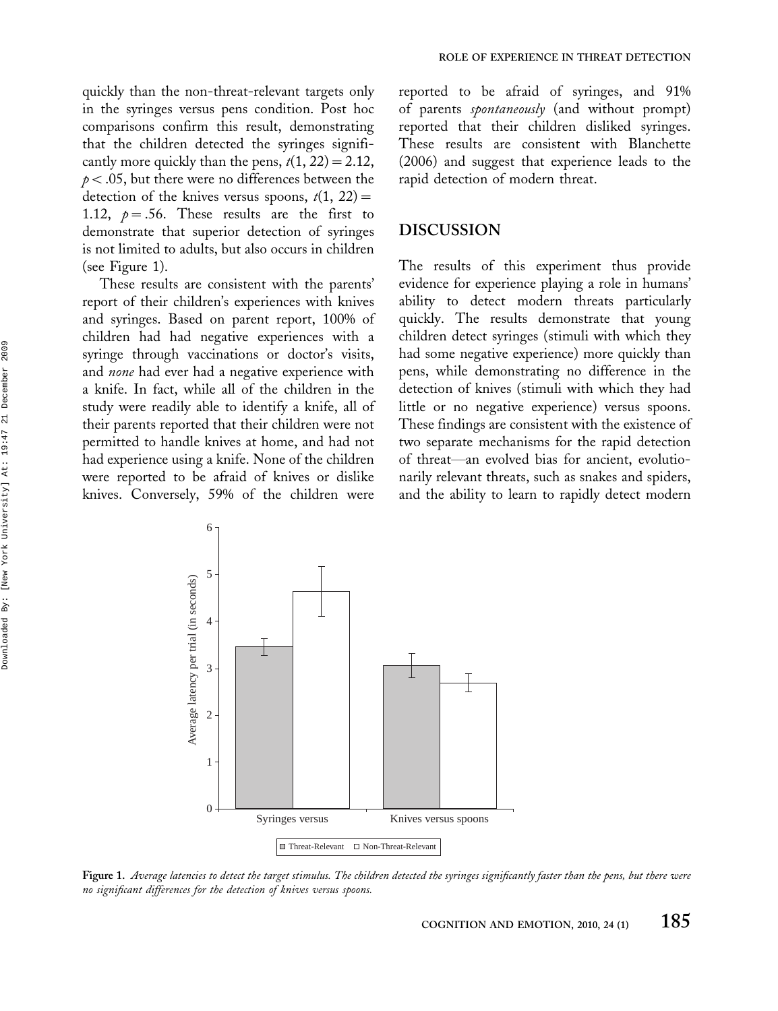quickly than the non-threat-relevant targets only in the syringes versus pens condition. Post hoc comparisons confirm this result, demonstrating that the children detected the syringes significantly more quickly than the pens,  $t(1, 22) = 2.12$ ,  $p < .05$ , but there were no differences between the detection of the knives versus spoons,  $t(1, 22) =$ 1.12,  $p = .56$ . These results are the first to demonstrate that superior detection of syringes is not limited to adults, but also occurs in children (see Figure 1).

These results are consistent with the parents' report of their children's experiences with knives and syringes. Based on parent report, 100% of children had had negative experiences with a syringe through vaccinations or doctor's visits, and *none* had ever had a negative experience with a knife. In fact, while all of the children in the study were readily able to identify a knife, all of their parents reported that their children were not permitted to handle knives at home, and had not had experience using a knife. None of the children were reported to be afraid of knives or dislike knives. Conversely, 59% of the children were

reported to be afraid of syringes, and 91% of parents *spontaneously* (and without prompt) reported that their children disliked syringes. These results are consistent with Blanchette (2006) and suggest that experience leads to the rapid detection of modern threat.

## DISCUSSION

The results of this experiment thus provide evidence for experience playing a role in humans' ability to detect modern threats particularly quickly. The results demonstrate that young children detect syringes (stimuli with which they had some negative experience) more quickly than pens, while demonstrating no difference in the detection of knives (stimuli with which they had little or no negative experience) versus spoons. These findings are consistent with the existence of two separate mechanisms for the rapid detection of threat—an evolved bias for ancient, evolutionarily relevant threats, such as snakes and spiders, and the ability to learn to rapidly detect modern



Figure 1. Average latencies to detect the target stimulus. The children detected the syringes significantly faster than the pens, but there were no significant differences for the detection of knives versus spoons.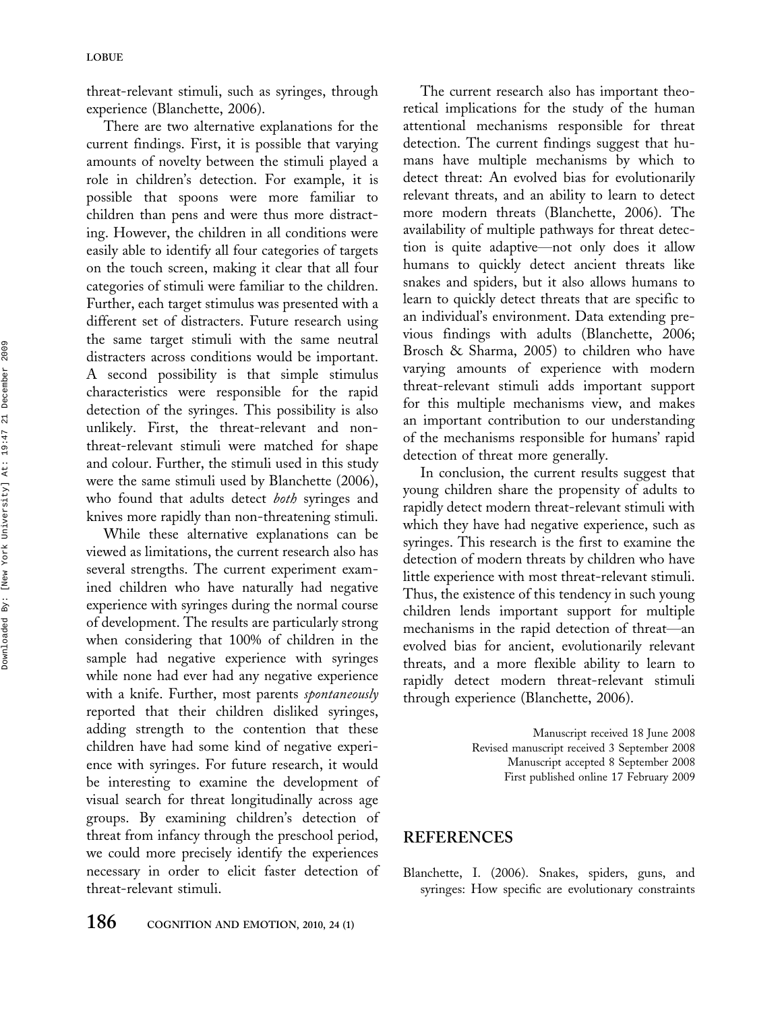threat-relevant stimuli, such as syringes, through experience (Blanchette, 2006).

There are two alternative explanations for the current findings. First, it is possible that varying amounts of novelty between the stimuli played a role in children's detection. For example, it is possible that spoons were more familiar to children than pens and were thus more distracting. However, the children in all conditions were easily able to identify all four categories of targets on the touch screen, making it clear that all four categories of stimuli were familiar to the children. Further, each target stimulus was presented with a different set of distracters. Future research using the same target stimuli with the same neutral distracters across conditions would be important. A second possibility is that simple stimulus characteristics were responsible for the rapid detection of the syringes. This possibility is also unlikely. First, the threat-relevant and nonthreat-relevant stimuli were matched for shape and colour. Further, the stimuli used in this study were the same stimuli used by Blanchette (2006), who found that adults detect *both* syringes and knives more rapidly than non-threatening stimuli.

While these alternative explanations can be viewed as limitations, the current research also has several strengths. The current experiment examined children who have naturally had negative experience with syringes during the normal course of development. The results are particularly strong when considering that 100% of children in the sample had negative experience with syringes while none had ever had any negative experience with a knife. Further, most parents spontaneously reported that their children disliked syringes, adding strength to the contention that these children have had some kind of negative experience with syringes. For future research, it would be interesting to examine the development of visual search for threat longitudinally across age groups. By examining children's detection of threat from infancy through the preschool period, we could more precisely identify the experiences necessary in order to elicit faster detection of threat-relevant stimuli.

The current research also has important theoretical implications for the study of the human attentional mechanisms responsible for threat detection. The current findings suggest that humans have multiple mechanisms by which to detect threat: An evolved bias for evolutionarily relevant threats, and an ability to learn to detect more modern threats (Blanchette, 2006). The availability of multiple pathways for threat detection is quite adaptive—not only does it allow humans to quickly detect ancient threats like snakes and spiders, but it also allows humans to learn to quickly detect threats that are specific to an individual's environment. Data extending previous findings with adults (Blanchette, 2006; Brosch & Sharma, 2005) to children who have varying amounts of experience with modern threat-relevant stimuli adds important support for this multiple mechanisms view, and makes an important contribution to our understanding of the mechanisms responsible for humans' rapid detection of threat more generally.

In conclusion, the current results suggest that young children share the propensity of adults to rapidly detect modern threat-relevant stimuli with which they have had negative experience, such as syringes. This research is the first to examine the detection of modern threats by children who have little experience with most threat-relevant stimuli. Thus, the existence of this tendency in such young children lends important support for multiple mechanisms in the rapid detection of threat—an evolved bias for ancient, evolutionarily relevant threats, and a more flexible ability to learn to rapidly detect modern threat-relevant stimuli through experience (Blanchette, 2006).

> Manuscript received 18 June 2008 Revised manuscript received 3 September 2008 Manuscript accepted 8 September 2008 First published online 17 February 2009

## REFERENCES

Blanchette, I. (2006). Snakes, spiders, guns, and syringes: How specific are evolutionary constraints